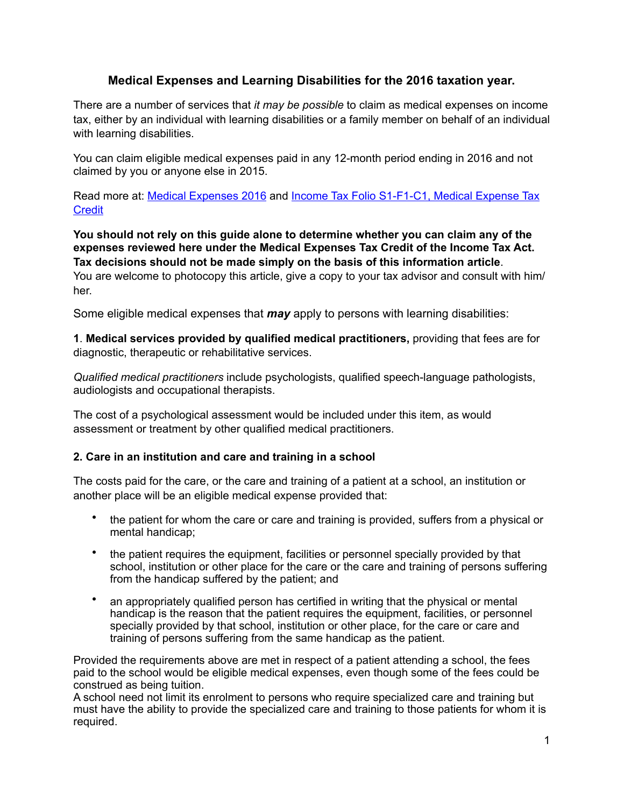# **Medical Expenses and Learning Disabilities for the 2016 taxation year.**

There are a number of services that *it may be possible* to claim as medical expenses on income tax, either by an individual with learning disabilities or a family member on behalf of an individual with learning disabilities.

You can claim eligible medical expenses paid in any 12-month period ending in 2016 and not claimed by you or anyone else in 2015.

Read more at: [Medical Expenses 2016](http://www.cra-arc.gc.ca/E/pub/tg/rc4065/rc4065-e.html) and [Income Tax Folio S1-F1-C1, Medical Expense Tax](http://www.cra-arc.gc.ca/tx/tchncl/ncmtx/fls/s1/f1/s1-f1-c1-eng.html)  **[Credit](http://www.cra-arc.gc.ca/tx/tchncl/ncmtx/fls/s1/f1/s1-f1-c1-eng.html)** 

**You should not rely on this guide alone to determine whether you can claim any of the expenses reviewed here under the Medical Expenses Tax Credit of the Income Tax Act. Tax decisions should not be made simply on the basis of this information article**.

You are welcome to photocopy this article, give a copy to your tax advisor and consult with him/ her.

Some eligible medical expenses that *may* apply to persons with learning disabilities:

**1**. **Medical services provided by qualified medical practitioners,** providing that fees are for diagnostic, therapeutic or rehabilitative services.

*Qualified medical practitioners* include psychologists, qualified speech-language pathologists, audiologists and occupational therapists.

The cost of a psychological assessment would be included under this item, as would assessment or treatment by other qualified medical practitioners.

## **2. Care in an institution and care and training in a school**

The costs paid for the care, or the care and training of a patient at a school, an institution or another place will be an eligible medical expense provided that:

- the patient for whom the care or care and training is provided, suffers from a physical or mental handicap;
- the patient requires the equipment, facilities or personnel specially provided by that school, institution or other place for the care or the care and training of persons suffering from the handicap suffered by the patient; and
- an appropriately qualified person has certified in writing that the physical or mental handicap is the reason that the patient requires the equipment, facilities, or personnel specially provided by that school, institution or other place, for the care or care and training of persons suffering from the same handicap as the patient.

Provided the requirements above are met in respect of a patient attending a school, the fees paid to the school would be eligible medical expenses, even though some of the fees could be construed as being tuition.

A school need not limit its enrolment to persons who require specialized care and training but must have the ability to provide the specialized care and training to those patients for whom it is required.